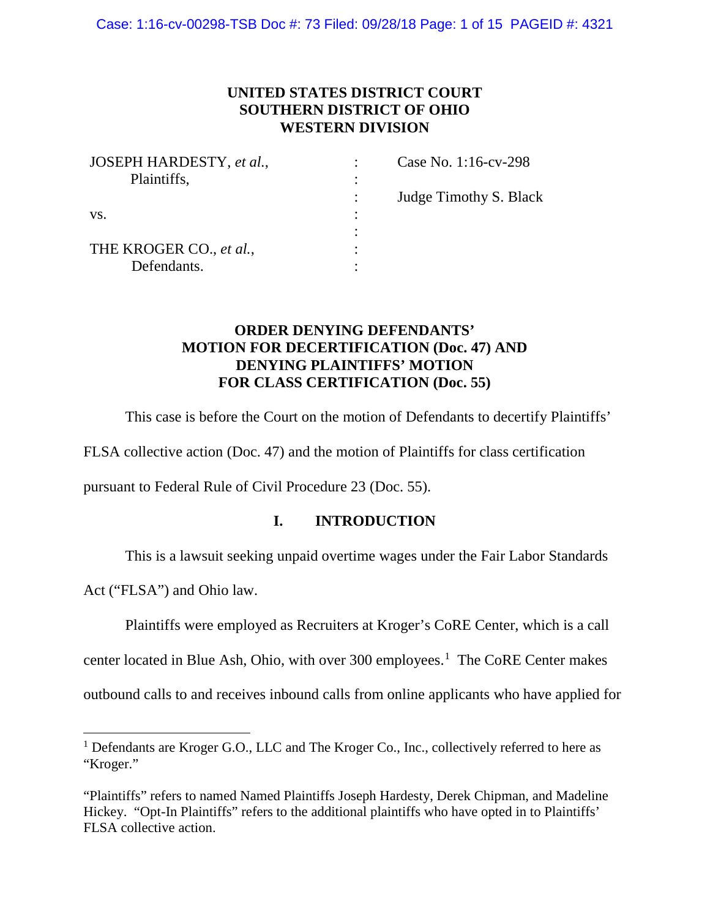## **UNITED STATES DISTRICT COURT SOUTHERN DISTRICT OF OHIO WESTERN DIVISION**

| JOSEPH HARDESTY, et al., | Case No. 1:16-cv-298   |
|--------------------------|------------------------|
| Plaintiffs,              |                        |
|                          | Judge Timothy S. Black |
| VS.                      |                        |
|                          |                        |
| THE KROGER CO., et al.,  |                        |
| Defendants.              |                        |

## **ORDER DENYING DEFENDANTS' MOTION FOR DECERTIFICATION (Doc. 47) AND DENYING PLAINTIFFS' MOTION FOR CLASS CERTIFICATION (Doc. 55)**

This case is before the Court on the motion of Defendants to decertify Plaintiffs'

FLSA collective action (Doc. 47) and the motion of Plaintiffs for class certification

pursuant to Federal Rule of Civil Procedure 23 (Doc. 55).

## **I. INTRODUCTION**

This is a lawsuit seeking unpaid overtime wages under the Fair Labor Standards

Act ("FLSA") and Ohio law.

l

Plaintiffs were employed as Recruiters at Kroger's CoRE Center, which is a call

center located in Blue Ash, Ohio, with over  $300$  employees.<sup>1</sup> The CoRE Center makes

outbound calls to and receives inbound calls from online applicants who have applied for

 $<sup>1</sup>$  Defendants are Kroger G.O., LLC and The Kroger Co., Inc., collectively referred to here as</sup> "Kroger."

<sup>&</sup>quot;Plaintiffs" refers to named Named Plaintiffs Joseph Hardesty, Derek Chipman, and Madeline Hickey. "Opt-In Plaintiffs" refers to the additional plaintiffs who have opted in to Plaintiffs' FLSA collective action.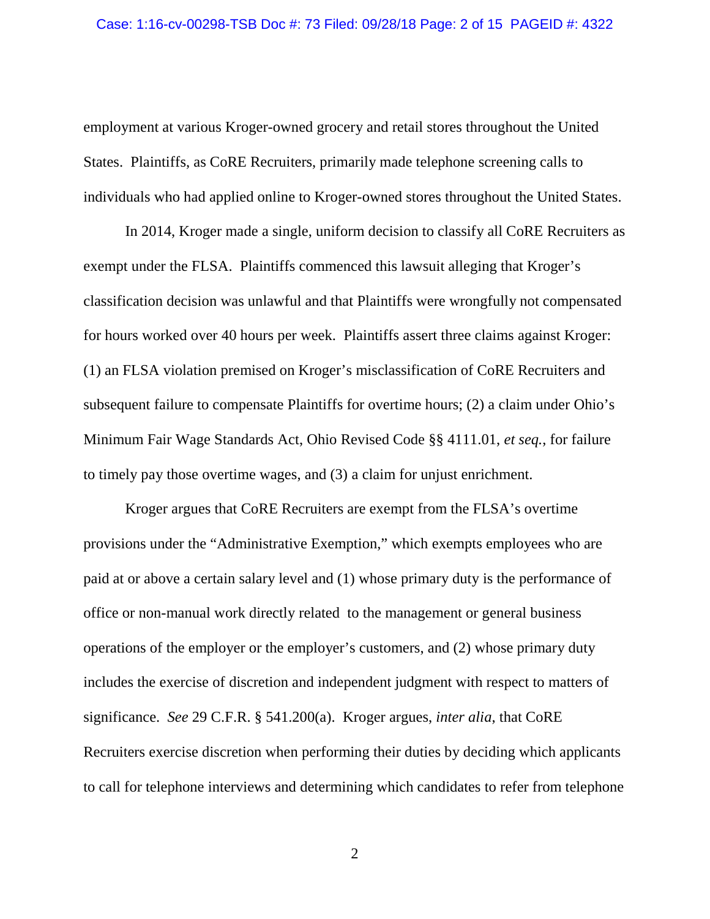employment at various Kroger-owned grocery and retail stores throughout the United States. Plaintiffs, as CoRE Recruiters, primarily made telephone screening calls to individuals who had applied online to Kroger-owned stores throughout the United States.

In 2014, Kroger made a single, uniform decision to classify all CoRE Recruiters as exempt under the FLSA. Plaintiffs commenced this lawsuit alleging that Kroger's classification decision was unlawful and that Plaintiffs were wrongfully not compensated for hours worked over 40 hours per week. Plaintiffs assert three claims against Kroger: (1) an FLSA violation premised on Kroger's misclassification of CoRE Recruiters and subsequent failure to compensate Plaintiffs for overtime hours; (2) a claim under Ohio's Minimum Fair Wage Standards Act, Ohio Revised Code §§ 4111.01, *et seq.*, for failure to timely pay those overtime wages, and (3) a claim for unjust enrichment.

Kroger argues that CoRE Recruiters are exempt from the FLSA's overtime provisions under the "Administrative Exemption," which exempts employees who are paid at or above a certain salary level and (1) whose primary duty is the performance of office or non-manual work directly related to the management or general business operations of the employer or the employer's customers, and (2) whose primary duty includes the exercise of discretion and independent judgment with respect to matters of significance. *See* 29 C.F.R. § 541.200(a). Kroger argues, *inter alia*, that CoRE Recruiters exercise discretion when performing their duties by deciding which applicants to call for telephone interviews and determining which candidates to refer from telephone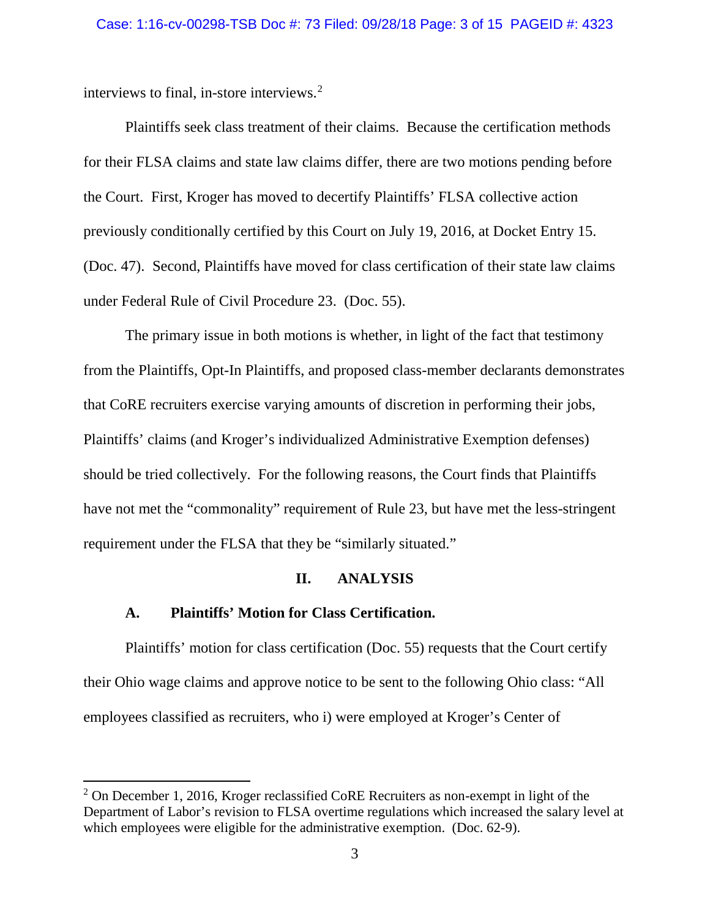interviews to final, in-store interviews.2

Plaintiffs seek class treatment of their claims. Because the certification methods for their FLSA claims and state law claims differ, there are two motions pending before the Court. First, Kroger has moved to decertify Plaintiffs' FLSA collective action previously conditionally certified by this Court on July 19, 2016, at Docket Entry 15. (Doc. 47). Second, Plaintiffs have moved for class certification of their state law claims under Federal Rule of Civil Procedure 23. (Doc. 55).

The primary issue in both motions is whether, in light of the fact that testimony from the Plaintiffs, Opt-In Plaintiffs, and proposed class-member declarants demonstrates that CoRE recruiters exercise varying amounts of discretion in performing their jobs, Plaintiffs' claims (and Kroger's individualized Administrative Exemption defenses) should be tried collectively. For the following reasons, the Court finds that Plaintiffs have not met the "commonality" requirement of Rule 23, but have met the less-stringent requirement under the FLSA that they be "similarly situated."

### **II. ANALYSIS**

### **A. Plaintiffs' Motion for Class Certification.**

 $\overline{\phantom{a}}$ 

Plaintiffs' motion for class certification (Doc. 55) requests that the Court certify their Ohio wage claims and approve notice to be sent to the following Ohio class: "All employees classified as recruiters, who i) were employed at Kroger's Center of

 $2$  On December 1, 2016, Kroger reclassified CoRE Recruiters as non-exempt in light of the Department of Labor's revision to FLSA overtime regulations which increased the salary level at which employees were eligible for the administrative exemption. (Doc. 62-9).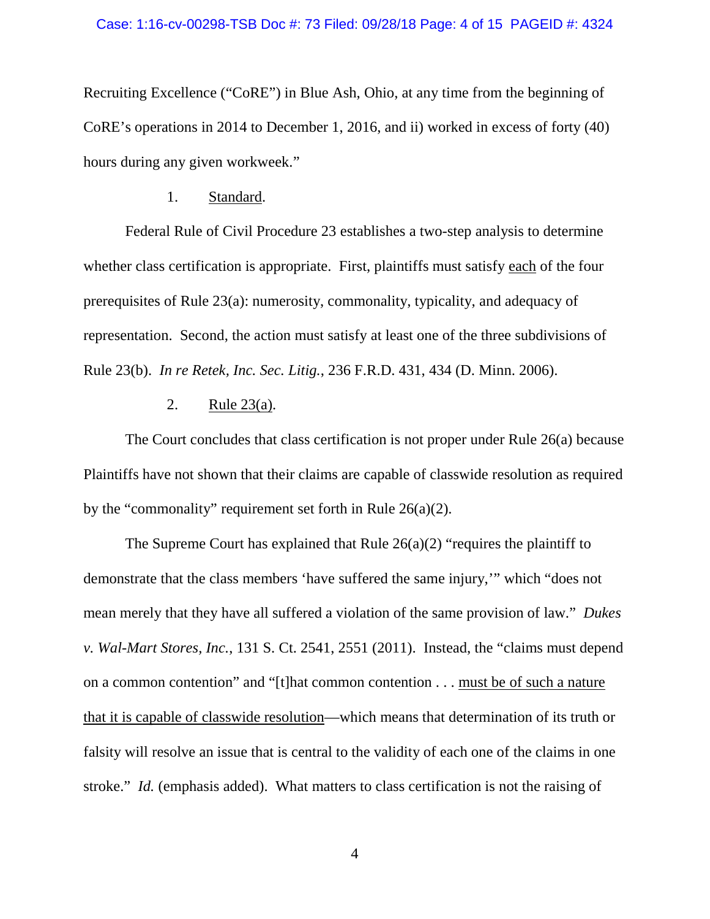Recruiting Excellence ("CoRE") in Blue Ash, Ohio, at any time from the beginning of CoRE's operations in 2014 to December 1, 2016, and ii) worked in excess of forty (40) hours during any given workweek."

### 1. Standard.

Federal Rule of Civil Procedure 23 establishes a two-step analysis to determine whether class certification is appropriate. First, plaintiffs must satisfy each of the four prerequisites of Rule 23(a): numerosity, commonality, typicality, and adequacy of representation. Second, the action must satisfy at least one of the three subdivisions of Rule 23(b). *In re Retek, Inc. Sec. Litig.*, 236 F.R.D. 431, 434 (D. Minn. 2006).

## 2. Rule 23(a).

The Court concludes that class certification is not proper under Rule 26(a) because Plaintiffs have not shown that their claims are capable of classwide resolution as required by the "commonality" requirement set forth in Rule  $26(a)(2)$ .

The Supreme Court has explained that Rule  $26(a)(2)$  "requires the plaintiff to demonstrate that the class members 'have suffered the same injury,'" which "does not mean merely that they have all suffered a violation of the same provision of law." *Dukes v. Wal-Mart Stores, Inc.*, 131 S. Ct. 2541, 2551 (2011). Instead, the "claims must depend on a common contention" and "[t]hat common contention . . . must be of such a nature that it is capable of classwide resolution—which means that determination of its truth or falsity will resolve an issue that is central to the validity of each one of the claims in one stroke." *Id.* (emphasis added). What matters to class certification is not the raising of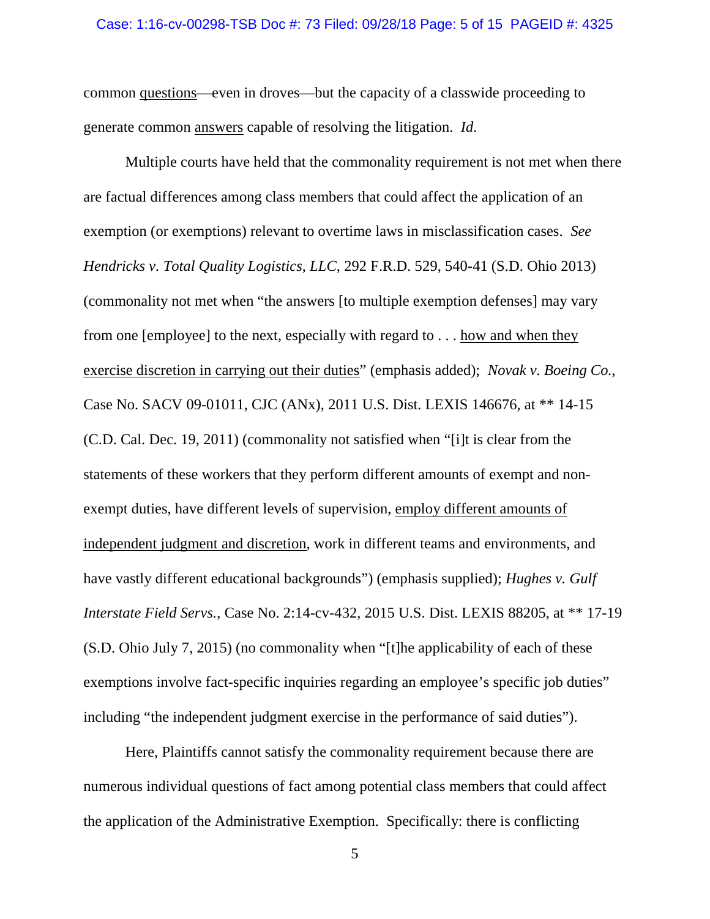#### Case: 1:16-cv-00298-TSB Doc #: 73 Filed: 09/28/18 Page: 5 of 15 PAGEID #: 4325

common questions—even in droves—but the capacity of a classwide proceeding to generate common answers capable of resolving the litigation. *Id*.

Multiple courts have held that the commonality requirement is not met when there are factual differences among class members that could affect the application of an exemption (or exemptions) relevant to overtime laws in misclassification cases. *See Hendricks v. Total Quality Logistics*, *LLC*, 292 F.R.D. 529, 540-41 (S.D. Ohio 2013) (commonality not met when "the answers [to multiple exemption defenses] may vary from one [employee] to the next, especially with regard to . . . how and when they exercise discretion in carrying out their duties" (emphasis added); *Novak v. Boeing Co.*, Case No. SACV 09-01011, CJC (ANx), 2011 U.S. Dist. LEXIS 146676, at \*\* 14-15 (C.D. Cal. Dec. 19, 2011) (commonality not satisfied when "[i]t is clear from the statements of these workers that they perform different amounts of exempt and nonexempt duties, have different levels of supervision, employ different amounts of independent judgment and discretion, work in different teams and environments, and have vastly different educational backgrounds") (emphasis supplied); *Hughes v. Gulf Interstate Field Servs.*, Case No. 2:14-cv-432, 2015 U.S. Dist. LEXIS 88205, at \*\* 17-19 (S.D. Ohio July 7, 2015) (no commonality when "[t]he applicability of each of these exemptions involve fact-specific inquiries regarding an employee's specific job duties" including "the independent judgment exercise in the performance of said duties").

Here, Plaintiffs cannot satisfy the commonality requirement because there are numerous individual questions of fact among potential class members that could affect the application of the Administrative Exemption. Specifically: there is conflicting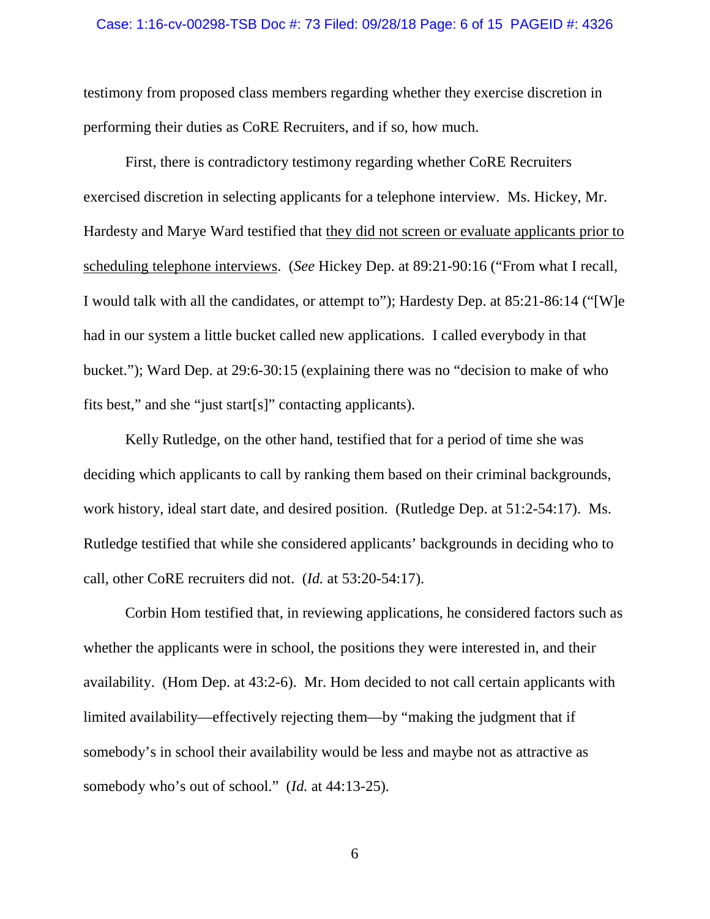#### Case: 1:16-cv-00298-TSB Doc #: 73 Filed: 09/28/18 Page: 6 of 15 PAGEID #: 4326

testimony from proposed class members regarding whether they exercise discretion in performing their duties as CoRE Recruiters, and if so, how much.

First, there is contradictory testimony regarding whether CoRE Recruiters exercised discretion in selecting applicants for a telephone interview. Ms. Hickey, Mr. Hardesty and Marye Ward testified that they did not screen or evaluate applicants prior to scheduling telephone interviews. (*See* Hickey Dep. at 89:21-90:16 ("From what I recall, I would talk with all the candidates, or attempt to"); Hardesty Dep. at 85:21-86:14 ("[W]e had in our system a little bucket called new applications. I called everybody in that bucket."); Ward Dep. at 29:6-30:15 (explaining there was no "decision to make of who fits best," and she "just start[s]" contacting applicants).

Kelly Rutledge, on the other hand, testified that for a period of time she was deciding which applicants to call by ranking them based on their criminal backgrounds, work history, ideal start date, and desired position. (Rutledge Dep. at 51:2-54:17). Ms. Rutledge testified that while she considered applicants' backgrounds in deciding who to call, other CoRE recruiters did not. (*Id.* at 53:20-54:17).

Corbin Hom testified that, in reviewing applications, he considered factors such as whether the applicants were in school, the positions they were interested in, and their availability. (Hom Dep. at 43:2-6). Mr. Hom decided to not call certain applicants with limited availability—effectively rejecting them—by "making the judgment that if somebody's in school their availability would be less and maybe not as attractive as somebody who's out of school." (*Id.* at 44:13-25).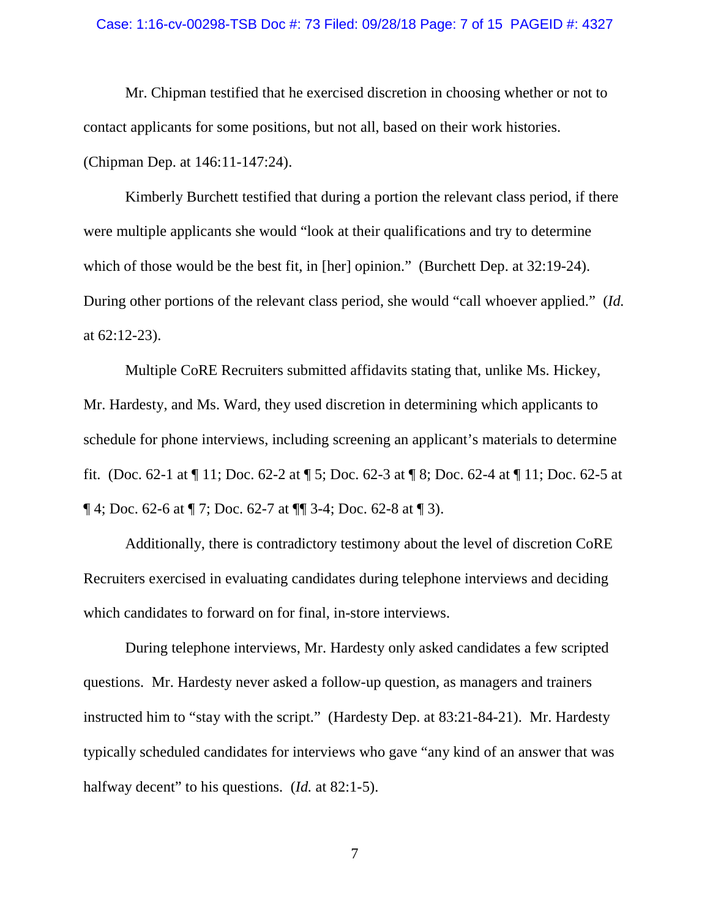#### Case: 1:16-cv-00298-TSB Doc #: 73 Filed: 09/28/18 Page: 7 of 15 PAGEID #: 4327

Mr. Chipman testified that he exercised discretion in choosing whether or not to contact applicants for some positions, but not all, based on their work histories. (Chipman Dep. at 146:11-147:24).

Kimberly Burchett testified that during a portion the relevant class period, if there were multiple applicants she would "look at their qualifications and try to determine which of those would be the best fit, in [her] opinion." (Burchett Dep. at 32:19-24). During other portions of the relevant class period, she would "call whoever applied." (*Id.* at 62:12-23).

Multiple CoRE Recruiters submitted affidavits stating that, unlike Ms. Hickey, Mr. Hardesty, and Ms. Ward, they used discretion in determining which applicants to schedule for phone interviews, including screening an applicant's materials to determine fit. (Doc. 62-1 at ¶ 11; Doc. 62-2 at ¶ 5; Doc. 62-3 at ¶ 8; Doc. 62-4 at ¶ 11; Doc. 62-5 at  $\P$  4; Doc. 62-6 at  $\P$  7; Doc. 62-7 at  $\P$  3-4; Doc. 62-8 at  $\P$  3).

Additionally, there is contradictory testimony about the level of discretion CoRE Recruiters exercised in evaluating candidates during telephone interviews and deciding which candidates to forward on for final, in-store interviews.

During telephone interviews, Mr. Hardesty only asked candidates a few scripted questions. Mr. Hardesty never asked a follow-up question, as managers and trainers instructed him to "stay with the script." (Hardesty Dep. at 83:21-84-21). Mr. Hardesty typically scheduled candidates for interviews who gave "any kind of an answer that was halfway decent" to his questions. (*Id.* at 82:1-5).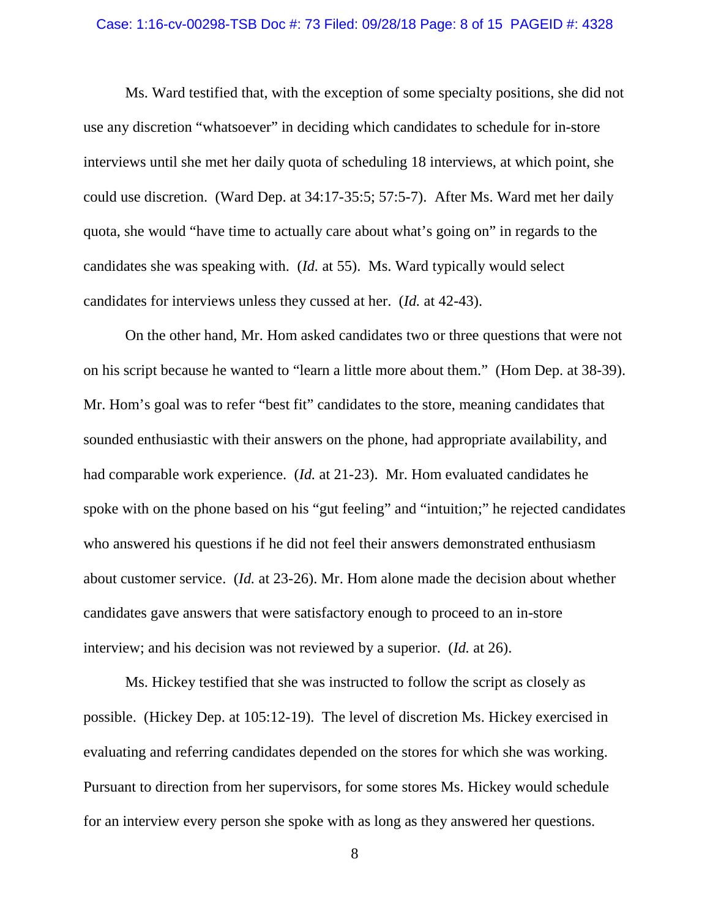#### Case: 1:16-cv-00298-TSB Doc #: 73 Filed: 09/28/18 Page: 8 of 15 PAGEID #: 4328

Ms. Ward testified that, with the exception of some specialty positions, she did not use any discretion "whatsoever" in deciding which candidates to schedule for in-store interviews until she met her daily quota of scheduling 18 interviews, at which point, she could use discretion. (Ward Dep. at 34:17-35:5; 57:5-7). After Ms. Ward met her daily quota, she would "have time to actually care about what's going on" in regards to the candidates she was speaking with. (*Id.* at 55). Ms. Ward typically would select candidates for interviews unless they cussed at her. (*Id.* at 42-43).

On the other hand, Mr. Hom asked candidates two or three questions that were not on his script because he wanted to "learn a little more about them." (Hom Dep. at 38-39). Mr. Hom's goal was to refer "best fit" candidates to the store, meaning candidates that sounded enthusiastic with their answers on the phone, had appropriate availability, and had comparable work experience. (*Id.* at 21-23). Mr. Hom evaluated candidates he spoke with on the phone based on his "gut feeling" and "intuition;" he rejected candidates who answered his questions if he did not feel their answers demonstrated enthusiasm about customer service. (*Id.* at 23-26). Mr. Hom alone made the decision about whether candidates gave answers that were satisfactory enough to proceed to an in-store interview; and his decision was not reviewed by a superior. (*Id.* at 26).

Ms. Hickey testified that she was instructed to follow the script as closely as possible. (Hickey Dep. at 105:12-19). The level of discretion Ms. Hickey exercised in evaluating and referring candidates depended on the stores for which she was working. Pursuant to direction from her supervisors, for some stores Ms. Hickey would schedule for an interview every person she spoke with as long as they answered her questions.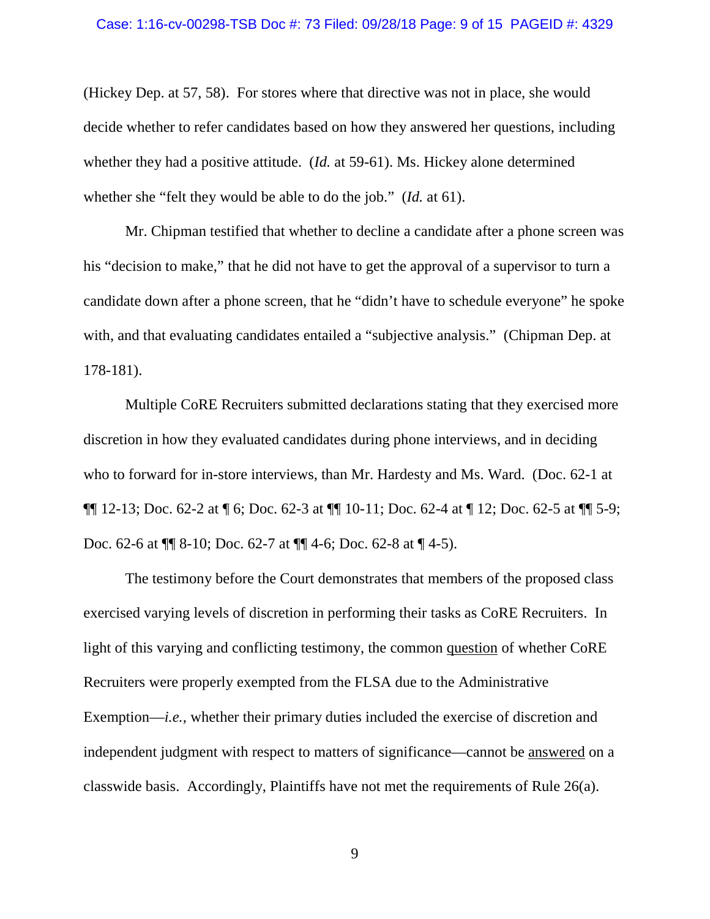(Hickey Dep. at 57, 58). For stores where that directive was not in place, she would decide whether to refer candidates based on how they answered her questions, including whether they had a positive attitude. (*Id.* at 59-61). Ms. Hickey alone determined whether she "felt they would be able to do the job." (*Id.* at 61).

Mr. Chipman testified that whether to decline a candidate after a phone screen was his "decision to make," that he did not have to get the approval of a supervisor to turn a candidate down after a phone screen, that he "didn't have to schedule everyone" he spoke with, and that evaluating candidates entailed a "subjective analysis." (Chipman Dep. at 178-181).

Multiple CoRE Recruiters submitted declarations stating that they exercised more discretion in how they evaluated candidates during phone interviews, and in deciding who to forward for in-store interviews, than Mr. Hardesty and Ms. Ward. (Doc. 62-1 at ¶¶ 12-13; Doc. 62-2 at ¶ 6; Doc. 62-3 at ¶¶ 10-11; Doc. 62-4 at ¶ 12; Doc. 62-5 at ¶¶ 5-9; Doc. 62-6 at ¶¶ 8-10; Doc. 62-7 at ¶¶ 4-6; Doc. 62-8 at ¶ 4-5).

The testimony before the Court demonstrates that members of the proposed class exercised varying levels of discretion in performing their tasks as CoRE Recruiters. In light of this varying and conflicting testimony, the common question of whether CoRE Recruiters were properly exempted from the FLSA due to the Administrative Exemption—*i.e.*, whether their primary duties included the exercise of discretion and independent judgment with respect to matters of significance—cannot be answered on a classwide basis. Accordingly, Plaintiffs have not met the requirements of Rule 26(a).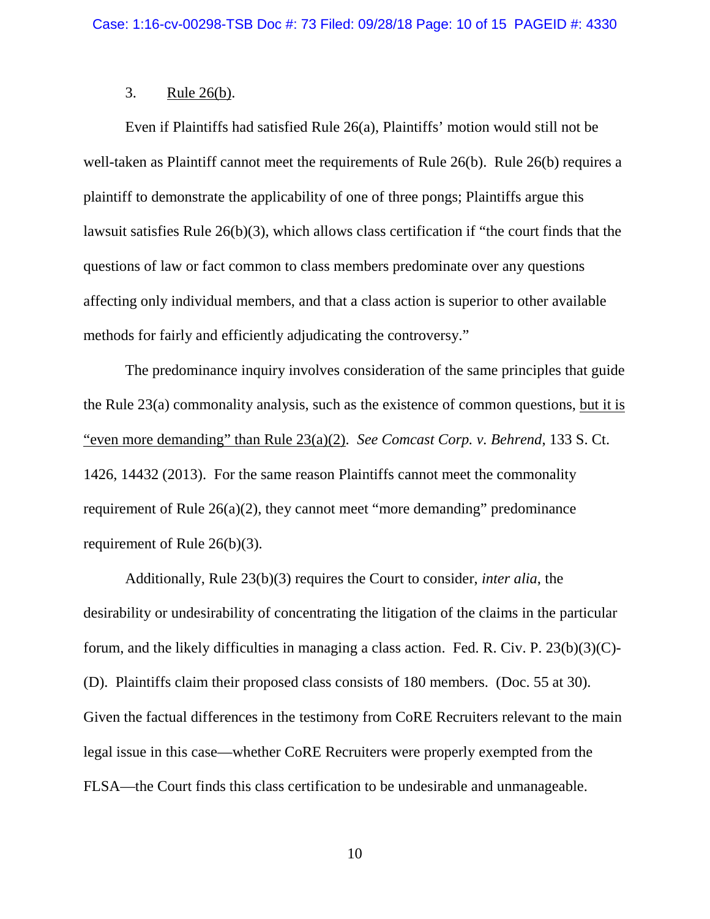### 3. Rule 26(b).

Even if Plaintiffs had satisfied Rule 26(a), Plaintiffs' motion would still not be well-taken as Plaintiff cannot meet the requirements of Rule 26(b). Rule 26(b) requires a plaintiff to demonstrate the applicability of one of three pongs; Plaintiffs argue this lawsuit satisfies Rule 26(b)(3), which allows class certification if "the court finds that the questions of law or fact common to class members predominate over any questions affecting only individual members, and that a class action is superior to other available methods for fairly and efficiently adjudicating the controversy."

The predominance inquiry involves consideration of the same principles that guide the Rule 23(a) commonality analysis, such as the existence of common questions, but it is "even more demanding" than Rule 23(a)(2). *See Comcast Corp. v. Behrend*, 133 S. Ct. 1426, 14432 (2013). For the same reason Plaintiffs cannot meet the commonality requirement of Rule 26(a)(2), they cannot meet "more demanding" predominance requirement of Rule 26(b)(3).

Additionally, Rule 23(b)(3) requires the Court to consider, *inter alia*, the desirability or undesirability of concentrating the litigation of the claims in the particular forum, and the likely difficulties in managing a class action. Fed. R. Civ. P. 23(b)(3)(C)- (D). Plaintiffs claim their proposed class consists of 180 members. (Doc. 55 at 30). Given the factual differences in the testimony from CoRE Recruiters relevant to the main legal issue in this case—whether CoRE Recruiters were properly exempted from the FLSA—the Court finds this class certification to be undesirable and unmanageable.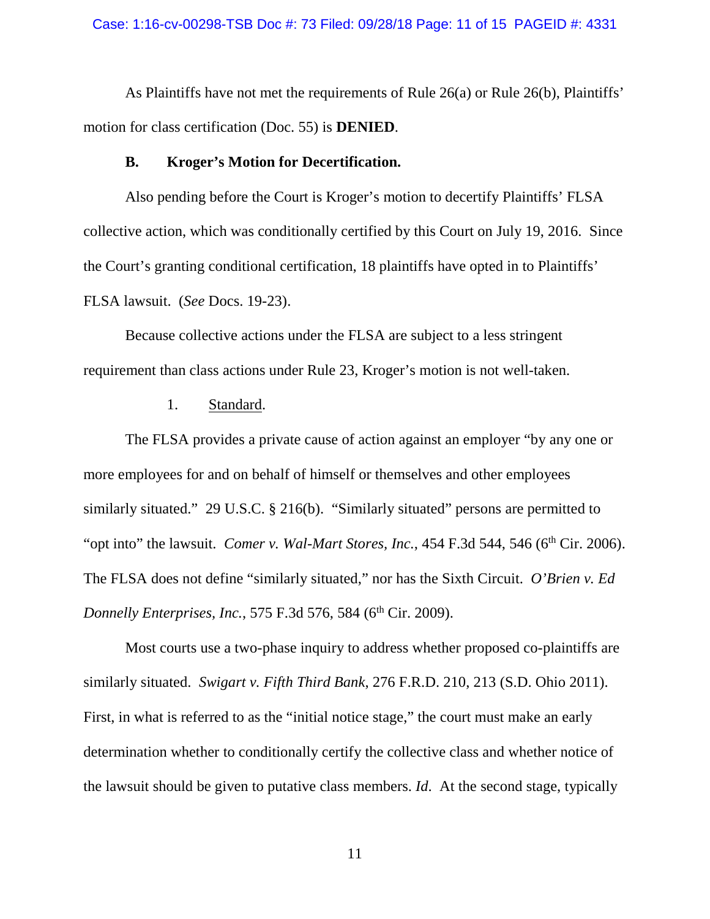#### Case: 1:16-cv-00298-TSB Doc #: 73 Filed: 09/28/18 Page: 11 of 15 PAGEID #: 4331

As Plaintiffs have not met the requirements of Rule 26(a) or Rule 26(b), Plaintiffs' motion for class certification (Doc. 55) is **DENIED**.

### **B. Kroger's Motion for Decertification.**

Also pending before the Court is Kroger's motion to decertify Plaintiffs' FLSA collective action, which was conditionally certified by this Court on July 19, 2016. Since the Court's granting conditional certification, 18 plaintiffs have opted in to Plaintiffs' FLSA lawsuit. (*See* Docs. 19-23).

Because collective actions under the FLSA are subject to a less stringent requirement than class actions under Rule 23, Kroger's motion is not well-taken.

## 1. Standard.

The FLSA provides a private cause of action against an employer "by any one or more employees for and on behalf of himself or themselves and other employees similarly situated." 29 U.S.C. § 216(b). "Similarly situated" persons are permitted to "opt into" the lawsuit. *Comer v. Wal-Mart Stores, Inc.*, 454 F.3d 544, 546 (6<sup>th</sup> Cir. 2006). The FLSA does not define "similarly situated," nor has the Sixth Circuit. *O'Brien v. Ed Donnelly Enterprises, Inc., 575 F.3d 576, 584 (6<sup>th</sup> Cir. 2009).* 

Most courts use a two-phase inquiry to address whether proposed co-plaintiffs are similarly situated. *Swigart v. Fifth Third Bank*, 276 F.R.D. 210, 213 (S.D. Ohio 2011). First, in what is referred to as the "initial notice stage," the court must make an early determination whether to conditionally certify the collective class and whether notice of the lawsuit should be given to putative class members. *Id*. At the second stage, typically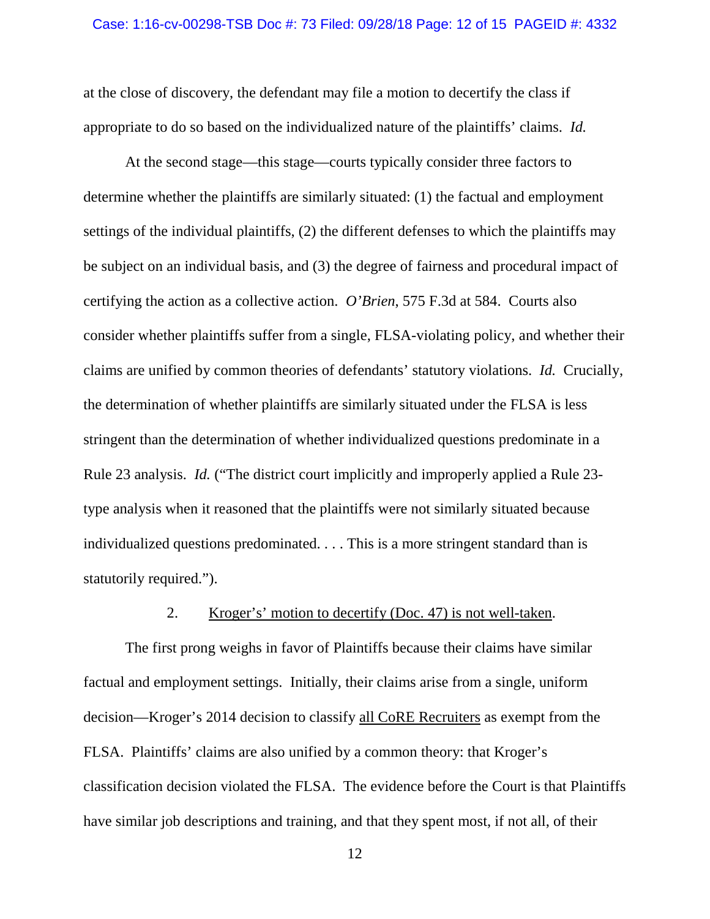at the close of discovery, the defendant may file a motion to decertify the class if appropriate to do so based on the individualized nature of the plaintiffs' claims. *Id.*

At the second stage—this stage—courts typically consider three factors to determine whether the plaintiffs are similarly situated: (1) the factual and employment settings of the individual plaintiffs, (2) the different defenses to which the plaintiffs may be subject on an individual basis, and (3) the degree of fairness and procedural impact of certifying the action as a collective action. *O'Brien*, 575 F.3d at 584. Courts also consider whether plaintiffs suffer from a single, FLSA-violating policy, and whether their claims are unified by common theories of defendants' statutory violations. *Id.* Crucially, the determination of whether plaintiffs are similarly situated under the FLSA is less stringent than the determination of whether individualized questions predominate in a Rule 23 analysis. *Id.* ("The district court implicitly and improperly applied a Rule 23 type analysis when it reasoned that the plaintiffs were not similarly situated because individualized questions predominated. . . . This is a more stringent standard than is statutorily required.").

## 2. Kroger's' motion to decertify (Doc. 47) is not well-taken.

The first prong weighs in favor of Plaintiffs because their claims have similar factual and employment settings. Initially, their claims arise from a single, uniform decision—Kroger's 2014 decision to classify all CoRE Recruiters as exempt from the FLSA. Plaintiffs' claims are also unified by a common theory: that Kroger's classification decision violated the FLSA. The evidence before the Court is that Plaintiffs have similar job descriptions and training, and that they spent most, if not all, of their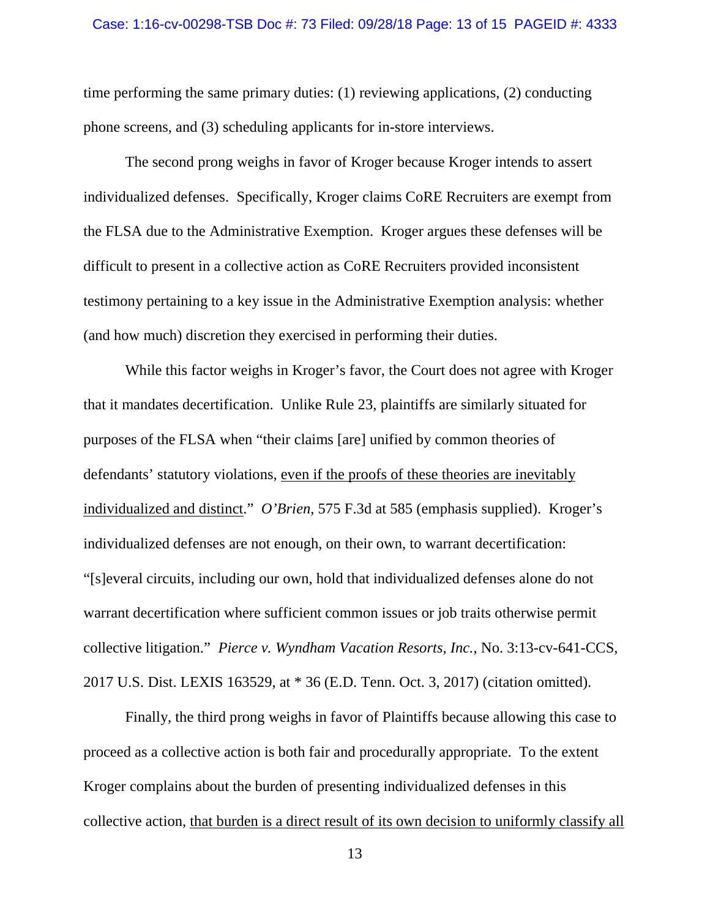time performing the same primary duties: (1) reviewing applications, (2) conducting phone screens, and (3) scheduling applicants for in-store interviews.

The second prong weighs in favor of Kroger because Kroger intends to assert individualized defenses. Specifically, Kroger claims CoRE Recruiters are exempt from the FLSA due to the Administrative Exemption. Kroger argues these defenses will be difficult to present in a collective action as CoRE Recruiters provided inconsistent testimony pertaining to a key issue in the Administrative Exemption analysis: whether (and how much) discretion they exercised in performing their duties.

While this factor weighs in Kroger's favor, the Court does not agree with Kroger that it mandates decertification. Unlike Rule 23, plaintiffs are similarly situated for purposes of the FLSA when "their claims [are] unified by common theories of defendants' statutory violations, even if the proofs of these theories are inevitably individualized and distinct." *O'Brien*, 575 F.3d at 585 (emphasis supplied). Kroger's individualized defenses are not enough, on their own, to warrant decertification: "[s]everal circuits, including our own, hold that individualized defenses alone do not warrant decertification where sufficient common issues or job traits otherwise permit collective litigation." *Pierce v. Wyndham Vacation Resorts, Inc.*, No. 3:13-cv-641-CCS, 2017 U.S. Dist. LEXIS 163529, at \* 36 (E.D. Tenn. Oct. 3, 2017) (citation omitted).

Finally, the third prong weighs in favor of Plaintiffs because allowing this case to proceed as a collective action is both fair and procedurally appropriate. To the extent Kroger complains about the burden of presenting individualized defenses in this collective action, that burden is a direct result of its own decision to uniformly classify all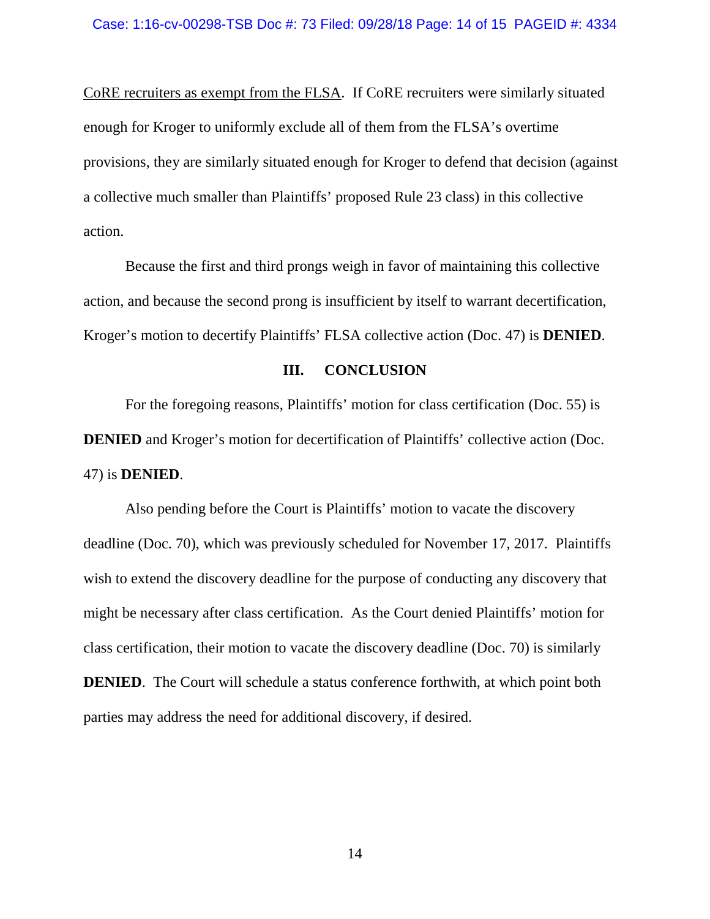CoRE recruiters as exempt from the FLSA. If CoRE recruiters were similarly situated enough for Kroger to uniformly exclude all of them from the FLSA's overtime provisions, they are similarly situated enough for Kroger to defend that decision (against a collective much smaller than Plaintiffs' proposed Rule 23 class) in this collective action.

Because the first and third prongs weigh in favor of maintaining this collective action, and because the second prong is insufficient by itself to warrant decertification, Kroger's motion to decertify Plaintiffs' FLSA collective action (Doc. 47) is **DENIED**.

### **III. CONCLUSION**

For the foregoing reasons, Plaintiffs' motion for class certification (Doc. 55) is **DENIED** and Kroger's motion for decertification of Plaintiffs' collective action (Doc. 47) is **DENIED**.

Also pending before the Court is Plaintiffs' motion to vacate the discovery deadline (Doc. 70), which was previously scheduled for November 17, 2017. Plaintiffs wish to extend the discovery deadline for the purpose of conducting any discovery that might be necessary after class certification. As the Court denied Plaintiffs' motion for class certification, their motion to vacate the discovery deadline (Doc. 70) is similarly **DENIED.** The Court will schedule a status conference forthwith, at which point both parties may address the need for additional discovery, if desired.